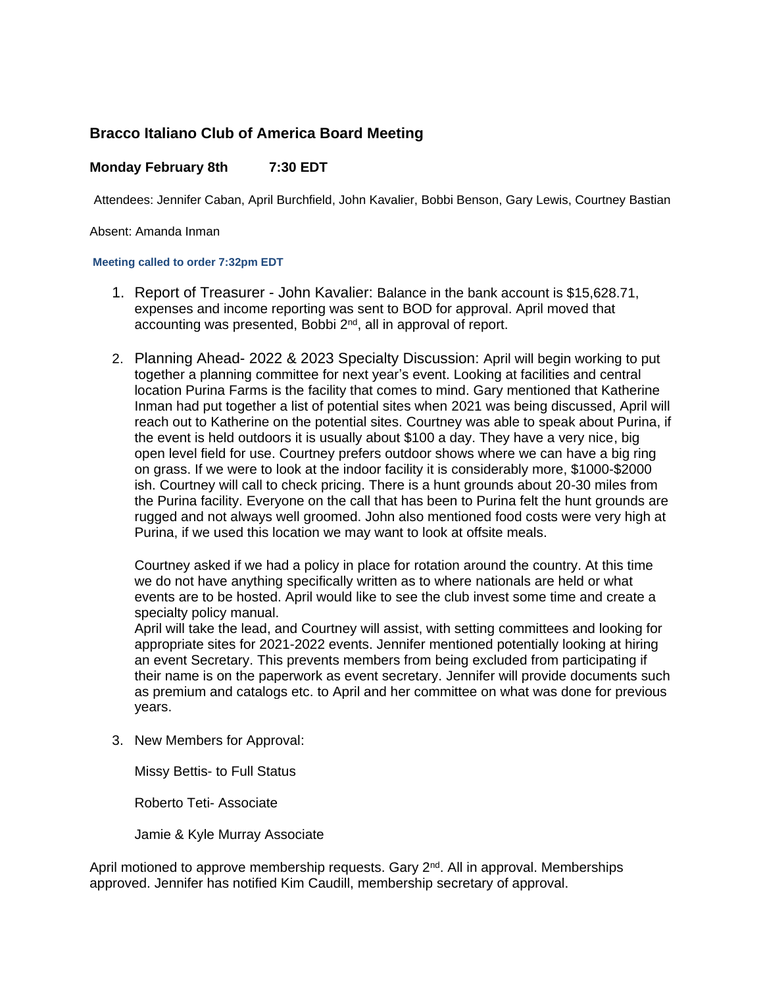## **Bracco Italiano Club of America Board Meeting**

## **Monday February 8th 7:30 EDT**

Attendees: Jennifer Caban, April Burchfield, John Kavalier, Bobbi Benson, Gary Lewis, Courtney Bastian

Absent: Amanda Inman

## **Meeting called to order 7:32pm EDT**

- 1. Report of Treasurer John Kavalier: Balance in the bank account is \$15,628.71, expenses and income reporting was sent to BOD for approval. April moved that accounting was presented, Bobbi 2<sup>nd</sup>, all in approval of report.
- 2. Planning Ahead- 2022 & 2023 Specialty Discussion: April will begin working to put together a planning committee for next year's event. Looking at facilities and central location Purina Farms is the facility that comes to mind. Gary mentioned that Katherine Inman had put together a list of potential sites when 2021 was being discussed, April will reach out to Katherine on the potential sites. Courtney was able to speak about Purina, if the event is held outdoors it is usually about \$100 a day. They have a very nice, big open level field for use. Courtney prefers outdoor shows where we can have a big ring on grass. If we were to look at the indoor facility it is considerably more, \$1000-\$2000 ish. Courtney will call to check pricing. There is a hunt grounds about 20-30 miles from the Purina facility. Everyone on the call that has been to Purina felt the hunt grounds are rugged and not always well groomed. John also mentioned food costs were very high at Purina, if we used this location we may want to look at offsite meals.

Courtney asked if we had a policy in place for rotation around the country. At this time we do not have anything specifically written as to where nationals are held or what events are to be hosted. April would like to see the club invest some time and create a specialty policy manual.

April will take the lead, and Courtney will assist, with setting committees and looking for appropriate sites for 2021-2022 events. Jennifer mentioned potentially looking at hiring an event Secretary. This prevents members from being excluded from participating if their name is on the paperwork as event secretary. Jennifer will provide documents such as premium and catalogs etc. to April and her committee on what was done for previous years.

3. New Members for Approval:

Missy Bettis- to Full Status

Roberto Teti- Associate

Jamie & Kyle Murray Associate

April motioned to approve membership requests. Gary  $2<sup>nd</sup>$ . All in approval. Memberships approved. Jennifer has notified Kim Caudill, membership secretary of approval.